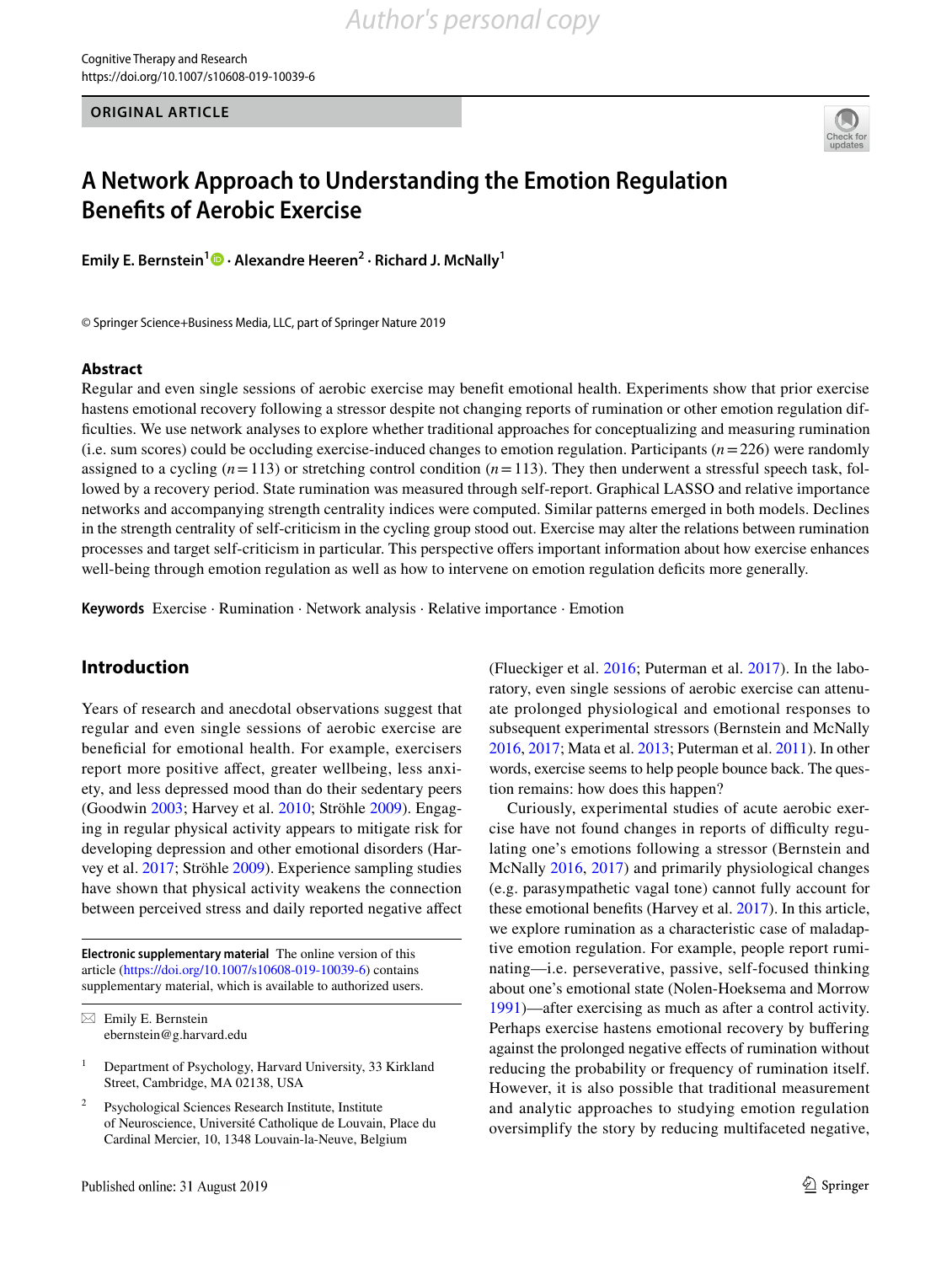**ORIGINAL ARTICLE**



# **A Network Approach to Understanding the Emotion Regulation Benefts of Aerobic Exercise**

**Emily E. Bernstein[1](http://orcid.org/0000-0001-8609-3153) · Alexandre Heeren2 · Richard J. McNally1**

© Springer Science+Business Media, LLC, part of Springer Nature 2019

## **Abstract**

Regular and even single sessions of aerobic exercise may benefit emotional health. Experiments show that prior exercise hastens emotional recovery following a stressor despite not changing reports of rumination or other emotion regulation difficulties. We use network analyses to explore whether traditional approaches for conceptualizing and measuring rumination (i.e. sum scores) could be occluding exercise-induced changes to emotion regulation. Participants (*n*=226) were randomly assigned to a cycling  $(n=113)$  or stretching control condition  $(n=113)$ . They then underwent a stressful speech task, followed by a recovery period. State rumination was measured through self-report. Graphical LASSO and relative importance networks and accompanying strength centrality indices were computed. Similar patterns emerged in both models. Declines in the strength centrality of self-criticism in the cycling group stood out. Exercise may alter the relations between rumination processes and target self-criticism in particular. This perspective offers important information about how exercise enhances well-being through emotion regulation as well as how to intervene on emotion regulation deficits more generally.

**Keywords** Exercise · Rumination · Network analysis · Relative importance · Emotion

## **Introduction**

Years of research and anecdotal observations suggest that regular and even single sessions of aerobic exercise are beneficial for emotional health. For example, exercisers report more positive affect, greater wellbeing, less anxiety, and less depressed mood than do their sedentary peers (Goodwin [2003;](#page-7-0) Harvey et al. [2010](#page-7-1); Ströhle [2009\)](#page-8-0). Engaging in regular physical activity appears to mitigate risk for developing depression and other emotional disorders (Harvey et al. [2017](#page-7-2); Ströhle [2009\)](#page-8-0). Experience sampling studies have shown that physical activity weakens the connection between perceived stress and daily reported negative affect

**Electronic supplementary material** The online version of this article [\(https://doi.org/10.1007/s10608-019-10039-6\)](https://doi.org/10.1007/s10608-019-10039-6) contains supplementary material, which is available to authorized users.

 $\boxtimes$  Emily E. Bernstein ebernstein@g.harvard.edu

Psychological Sciences Research Institute, Institute of Neuroscience, Université Catholique de Louvain, Place du Cardinal Mercier, 10, 1348 Louvain-la-Neuve, Belgium

(Flueckiger et al. [2016](#page-7-3); Puterman et al. [2017](#page-8-1)). In the laboratory, even single sessions of aerobic exercise can attenuate prolonged physiological and emotional responses to subsequent experimental stressors (Bernstein and McNally [2016,](#page-7-4) [2017;](#page-7-5) Mata et al. [2013](#page-7-6); Puterman et al. [2011](#page-8-2)). In other words, exercise seems to help people bounce back. The question remains: how does this happen?

Curiously, experimental studies of acute aerobic exercise have not found changes in reports of difficulty regulating one's emotions following a stressor (Bernstein and McNally [2016,](#page-7-4) [2017](#page-7-5)) and primarily physiological changes (e.g. parasympathetic vagal tone) cannot fully account for these emotional benefits (Harvey et al. [2017](#page-7-2)). In this article, we explore rumination as a characteristic case of maladaptive emotion regulation. For example, people report ruminating—i.e. perseverative, passive, self-focused thinking about one's emotional state (Nolen-Hoeksema and Morrow [1991](#page-8-3))—after exercising as much as after a control activity. Perhaps exercise hastens emotional recovery by buffering against the prolonged negative effects of rumination without reducing the probability or frequency of rumination itself. However, it is also possible that traditional measurement and analytic approaches to studying emotion regulation oversimplify the story by reducing multifaceted negative,

<sup>&</sup>lt;sup>1</sup> Department of Psychology, Harvard University, 33 Kirkland Street, Cambridge, MA 02138, USA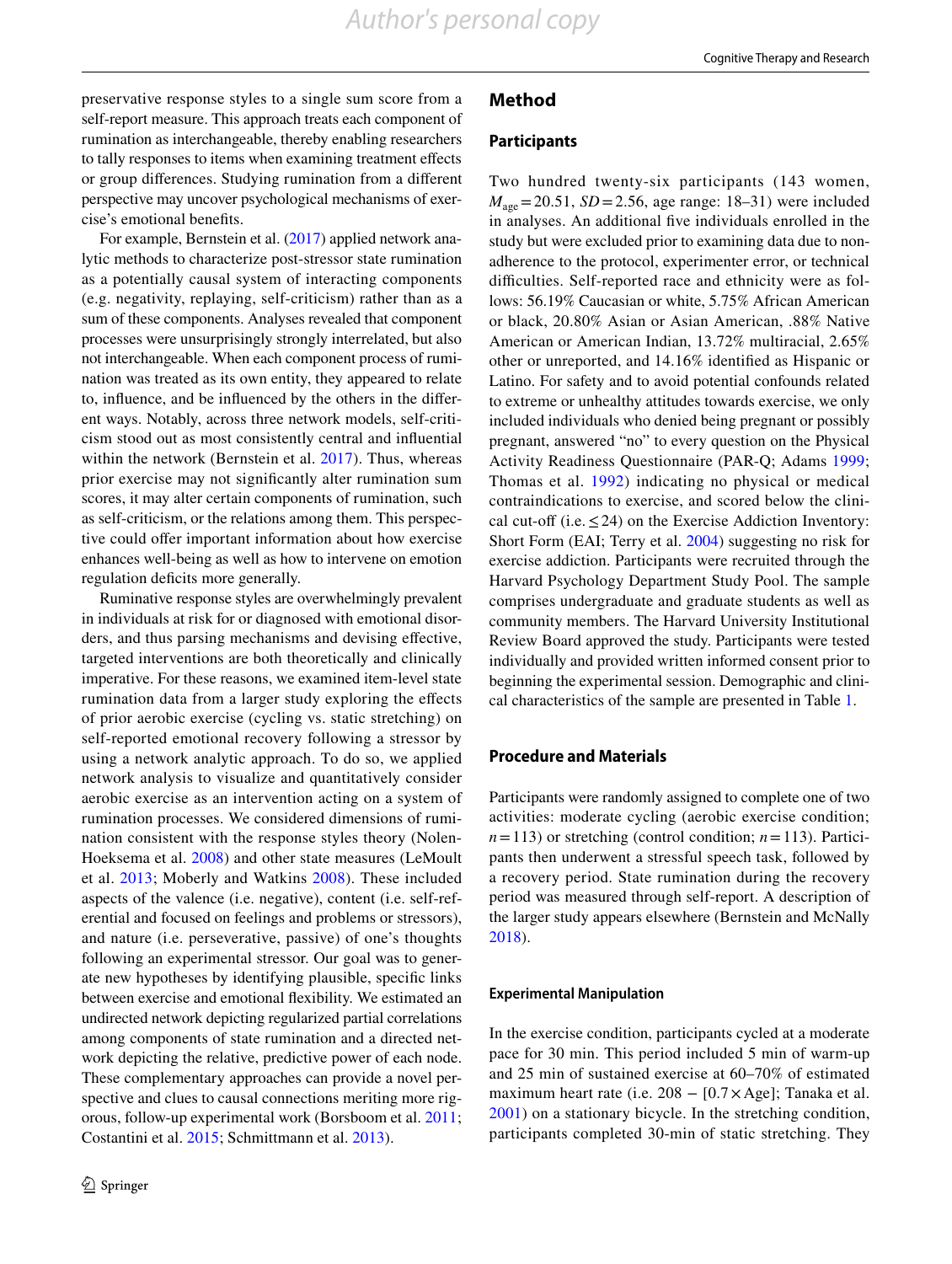preservative response styles to a single sum score from a self-report measure. This approach treats each component of rumination as interchangeable, thereby enabling researchers to tally responses to items when examining treatment effects or group differences. Studying rumination from a different perspective may uncover psychological mechanisms of exercise's emotional benefits.

For example, Bernstein et al. [\(2017\)](#page-7-7) applied network analytic methods to characterize post-stressor state rumination as a potentially causal system of interacting components (e.g. negativity, replaying, self-criticism) rather than as a sum of these components. Analyses revealed that component processes were unsurprisingly strongly interrelated, but also not interchangeable. When each component process of rumination was treated as its own entity, they appeared to relate to, influence, and be influenced by the others in the different ways. Notably, across three network models, self-criticism stood out as most consistently central and influential within the network (Bernstein et al. [2017\)](#page-7-7). Thus, whereas prior exercise may not significantly alter rumination sum scores, it may alter certain components of rumination, such as self-criticism, or the relations among them. This perspective could offer important information about how exercise enhances well-being as well as how to intervene on emotion regulation deficits more generally.

Ruminative response styles are overwhelmingly prevalent in individuals at risk for or diagnosed with emotional disorders, and thus parsing mechanisms and devising effective, targeted interventions are both theoretically and clinically imperative. For these reasons, we examined item-level state rumination data from a larger study exploring the effects of prior aerobic exercise (cycling vs. static stretching) on self-reported emotional recovery following a stressor by using a network analytic approach. To do so, we applied network analysis to visualize and quantitatively consider aerobic exercise as an intervention acting on a system of rumination processes. We considered dimensions of rumination consistent with the response styles theory (Nolen-Hoeksema et al. [2008](#page-8-4)) and other state measures (LeMoult et al. [2013;](#page-7-8) Moberly and Watkins [2008](#page-8-5)). These included aspects of the valence (i.e. negative), content (i.e. self-referential and focused on feelings and problems or stressors), and nature (i.e. perseverative, passive) of one's thoughts following an experimental stressor. Our goal was to generate new hypotheses by identifying plausible, specific links between exercise and emotional flexibility. We estimated an undirected network depicting regularized partial correlations among components of state rumination and a directed network depicting the relative, predictive power of each node. These complementary approaches can provide a novel perspective and clues to causal connections meriting more rigorous, follow-up experimental work (Borsboom et al. [2011](#page-7-9); Costantini et al. [2015](#page-7-10); Schmittmann et al. [2013\)](#page-8-6).

## **Method**

### **Participants**

Two hundred twenty-six participants (143 women,  $M_{\text{age}} = 20.51$ , *SD* = 2.56, age range: 18–31) were included in analyses. An additional five individuals enrolled in the study but were excluded prior to examining data due to nonadherence to the protocol, experimenter error, or technical difficulties. Self-reported race and ethnicity were as follows: 56.19% Caucasian or white, 5.75% African American or black, 20.80% Asian or Asian American, .88% Native American or American Indian, 13.72% multiracial, 2.65% other or unreported, and 14.16% identified as Hispanic or Latino. For safety and to avoid potential confounds related to extreme or unhealthy attitudes towards exercise, we only included individuals who denied being pregnant or possibly pregnant, answered "no" to every question on the Physical Activity Readiness Questionnaire (PAR-Q; Adams [1999](#page-7-11); Thomas et al. [1992\)](#page-8-7) indicating no physical or medical contraindications to exercise, and scored below the clinical cut-off (i.e.  $\leq$  24) on the Exercise Addiction Inventory: Short Form (EAI; Terry et al. [2004\)](#page-8-8) suggesting no risk for exercise addiction. Participants were recruited through the Harvard Psychology Department Study Pool. The sample comprises undergraduate and graduate students as well as community members. The Harvard University Institutional Review Board approved the study. Participants were tested individually and provided written informed consent prior to beginning the experimental session. Demographic and clinical characteristics of the sample are presented in Table [1.](#page-2-0)

## **Procedure and Materials**

Participants were randomly assigned to complete one of two activities: moderate cycling (aerobic exercise condition;  $n=113$ ) or stretching (control condition;  $n=113$ ). Participants then underwent a stressful speech task, followed by a recovery period. State rumination during the recovery period was measured through self-report. A description of the larger study appears elsewhere (Bernstein and McNally [2018](#page-7-12)).

#### **Experimental Manipulation**

In the exercise condition, participants cycled at a moderate pace for 30 min. This period included 5 min of warm-up and 25 min of sustained exercise at 60–70% of estimated maximum heart rate (i.e.  $208 - [0.7 \times \text{Age}]$ ; Tanaka et al. [2001\)](#page-8-9) on a stationary bicycle. In the stretching condition, participants completed 30-min of static stretching. They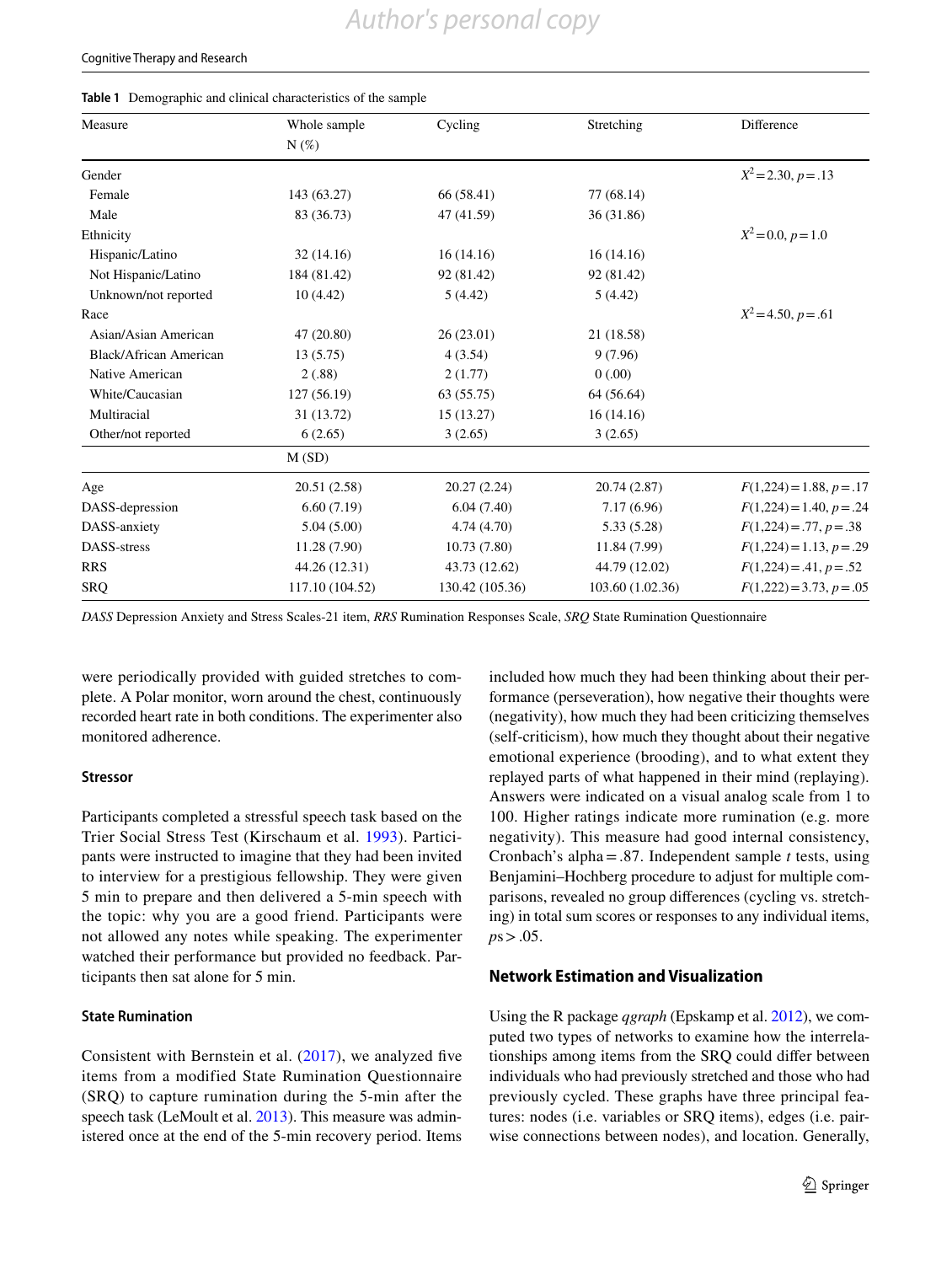#### Cognitive Therapy and Research

#### <span id="page-2-0"></span>**Table 1** Demographic and clinical characteristics of the sample

| Measure                | Whole sample    | Cycling         | Stretching       | Difference                 |
|------------------------|-----------------|-----------------|------------------|----------------------------|
|                        | $N(\%)$         |                 |                  |                            |
| Gender                 |                 |                 |                  | $X^2 = 2.30, p = .13$      |
| Female                 | 143 (63.27)     | 66 (58.41)      | 77(68.14)        |                            |
| Male                   | 83 (36.73)      | 47 (41.59)      | 36 (31.86)       |                            |
| Ethnicity              |                 |                 |                  | $X^2 = 0.0, p = 1.0$       |
| Hispanic/Latino        | 32(14.16)       | 16(14.16)       | 16(14.16)        |                            |
| Not Hispanic/Latino    | 184 (81.42)     | 92 (81.42)      | 92 (81.42)       |                            |
| Unknown/not reported   | 10(4.42)        | 5(4.42)         | 5(4.42)          |                            |
| Race                   |                 |                 |                  | $X^2 = 4.50, p = .61$      |
| Asian/Asian American   | 47 (20.80)      | 26(23.01)       | 21 (18.58)       |                            |
| Black/African American | 13 (5.75)       | 4(3.54)         | 9(7.96)          |                            |
| Native American        | 2(.88)          | 2(1.77)         | 0(.00)           |                            |
| White/Caucasian        | 127 (56.19)     | 63 (55.75)      | 64 (56.64)       |                            |
| Multiracial            | 31 (13.72)      | 15 (13.27)      | 16(14.16)        |                            |
| Other/not reported     | 6(2.65)         | 3(2.65)         | 3(2.65)          |                            |
|                        | M(SD)           |                 |                  |                            |
| Age                    | 20.51 (2.58)    | 20.27(2.24)     | 20.74 (2.87)     | $F(1,224) = 1.88, p = .17$ |
| DASS-depression        | 6.60(7.19)      | 6.04(7.40)      | 7.17(6.96)       | $F(1,224) = 1.40, p = .24$ |
| DASS-anxiety           | 5.04(5.00)      | 4.74(4.70)      | 5.33(5.28)       | $F(1,224) = .77, p = .38$  |
| DASS-stress            | 11.28 (7.90)    | 10.73(7.80)     | 11.84 (7.99)     | $F(1,224) = 1.13, p = .29$ |
| <b>RRS</b>             | 44.26 (12.31)   | 43.73 (12.62)   | 44.79 (12.02)    | $F(1,224) = .41, p = .52$  |
| SRQ                    | 117.10 (104.52) | 130.42 (105.36) | 103.60 (1.02.36) | $F(1,222) = 3.73, p = .05$ |

*DASS* Depression Anxiety and Stress Scales-21 item, *RRS* Rumination Responses Scale, *SRQ* State Rumination Questionnaire

were periodically provided with guided stretches to complete. A Polar monitor, worn around the chest, continuously recorded heart rate in both conditions. The experimenter also monitored adherence.

#### **Stressor**

Participants completed a stressful speech task based on the Trier Social Stress Test (Kirschaum et al. [1993](#page-7-13)). Participants were instructed to imagine that they had been invited to interview for a prestigious fellowship. They were given 5 min to prepare and then delivered a 5-min speech with the topic: why you are a good friend. Participants were not allowed any notes while speaking. The experimenter watched their performance but provided no feedback. Participants then sat alone for 5 min.

## **State Rumination**

Consistent with Bernstein et al. ([2017](#page-7-7)), we analyzed five items from a modified State Rumination Questionnaire (SRQ) to capture rumination during the 5-min after the speech task (LeMoult et al. [2013](#page-7-8)). This measure was administered once at the end of the 5-min recovery period. Items included how much they had been thinking about their performance (perseveration), how negative their thoughts were (negativity), how much they had been criticizing themselves (self-criticism), how much they thought about their negative emotional experience (brooding), and to what extent they replayed parts of what happened in their mind (replaying). Answers were indicated on a visual analog scale from 1 to 100. Higher ratings indicate more rumination (e.g. more negativity). This measure had good internal consistency, Cronbach's alpha=.87. Independent sample *t* tests, using Benjamini–Hochberg procedure to adjust for multiple comparisons, revealed no group differences (cycling vs. stretching) in total sum scores or responses to any individual items, *p*s>.05.

## **Network Estimation and Visualization**

Using the R package *qgraph* (Epskamp et al. [2012](#page-7-14)), we computed two types of networks to examine how the interrelationships among items from the SRQ could differ between individuals who had previously stretched and those who had previously cycled. These graphs have three principal features: nodes (i.e. variables or SRQ items), edges (i.e. pairwise connections between nodes), and location. Generally,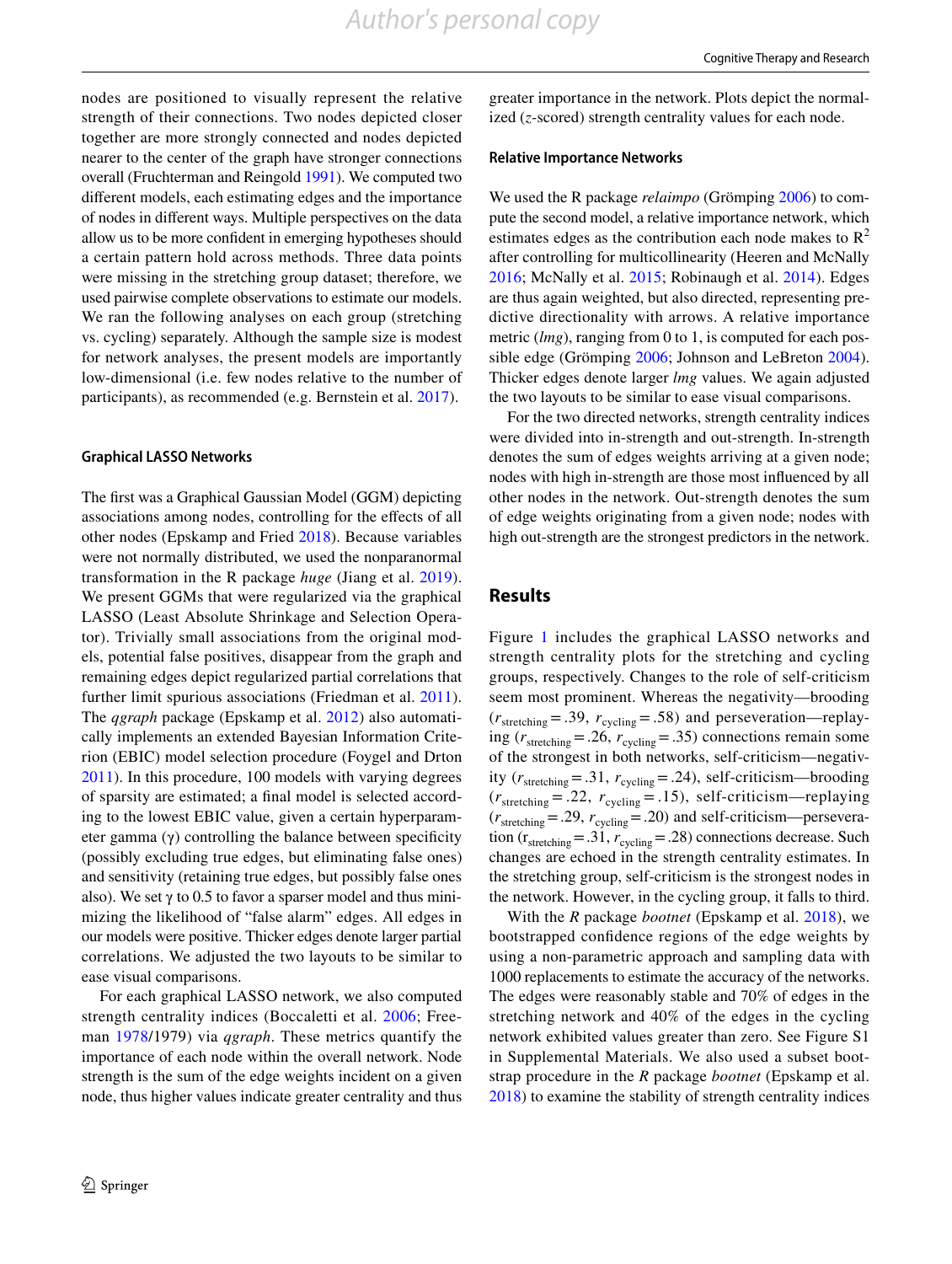nodes are positioned to visually represent the relative strength of their connections. Two nodes depicted closer together are more strongly connected and nodes depicted nearer to the center of the graph have stronger connections overall (Fruchterman and Reingold [1991](#page-7-15)). We computed two different models, each estimating edges and the importance of nodes in different ways. Multiple perspectives on the data allow us to be more confident in emerging hypotheses should a certain pattern hold across methods. Three data points were missing in the stretching group dataset; therefore, we used pairwise complete observations to estimate our models. We ran the following analyses on each group (stretching vs. cycling) separately. Although the sample size is modest for network analyses, the present models are importantly low-dimensional (i.e. few nodes relative to the number of participants), as recommended (e.g. Bernstein et al. [2017](#page-7-7)).

#### **Graphical LASSO Networks**

The first was a Graphical Gaussian Model (GGM) depicting associations among nodes, controlling for the effects of all other nodes (Epskamp and Fried [2018](#page-7-16)). Because variables were not normally distributed, we used the nonparanormal transformation in the R package *huge* (Jiang et al. [2019](#page-7-17)). We present GGMs that were regularized via the graphical LASSO (Least Absolute Shrinkage and Selection Operator). Trivially small associations from the original models, potential false positives, disappear from the graph and remaining edges depict regularized partial correlations that further limit spurious associations (Friedman et al. [2011](#page-7-18)). The *qgraph* package (Epskamp et al. [2012\)](#page-7-14) also automatically implements an extended Bayesian Information Criterion (EBIC) model selection procedure (Foygel and Drton [2011](#page-7-19)). In this procedure, 100 models with varying degrees of sparsity are estimated; a final model is selected according to the lowest EBIC value, given a certain hyperparameter gamma (γ) controlling the balance between specificity (possibly excluding true edges, but eliminating false ones) and sensitivity (retaining true edges, but possibly false ones also). We set  $\gamma$  to 0.5 to favor a sparser model and thus minimizing the likelihood of "false alarm" edges. All edges in our models were positive. Thicker edges denote larger partial correlations. We adjusted the two layouts to be similar to ease visual comparisons.

For each graphical LASSO network, we also computed strength centrality indices (Boccaletti et al. [2006;](#page-7-20) Freeman [1978](#page-7-21)/1979) via *qgraph*. These metrics quantify the importance of each node within the overall network. Node strength is the sum of the edge weights incident on a given node, thus higher values indicate greater centrality and thus greater importance in the network. Plots depict the normalized (*z*-scored) strength centrality values for each node.

#### **Relative Importance Networks**

We used the R package *relaimpo* (Grömping [2006\)](#page-7-22) to compute the second model, a relative importance network, which estimates edges as the contribution each node makes to  $\mathbb{R}^2$ after controlling for multicollinearity (Heeren and McNally [2016;](#page-7-23) McNally et al. [2015](#page-8-10); Robinaugh et al. [2014\)](#page-8-11). Edges are thus again weighted, but also directed, representing predictive directionality with arrows. A relative importance metric (*lmg*), ranging from 0 to 1, is computed for each possible edge (Grömping [2006](#page-7-22); Johnson and LeBreton [2004](#page-7-24)). Thicker edges denote larger *lmg* values. We again adjusted the two layouts to be similar to ease visual comparisons.

For the two directed networks, strength centrality indices were divided into in-strength and out-strength. In-strength denotes the sum of edges weights arriving at a given node; nodes with high in-strength are those most influenced by all other nodes in the network. Out-strength denotes the sum of edge weights originating from a given node; nodes with high out-strength are the strongest predictors in the network.

## **Results**

Figure [1](#page-4-0) includes the graphical LASSO networks and strength centrality plots for the stretching and cycling groups, respectively. Changes to the role of self-criticism seem most prominent. Whereas the negativity—brooding  $(r_{\text{stretching}} = .39, r_{\text{cyclic}} = .58)$  and perseveration—replaying  $(r_{\text{stretching}} = .26, r_{\text{cyclic}} = .35)$  connections remain some of the strongest in both networks, self-criticism—negativity  $(r_{\text{stretching}} = .31, r_{\text{cveling}} = .24)$ , self-criticism—brooding  $(r<sub>stretching</sub> = .22, r<sub>cycling</sub> = .15)$ , self-criticism—replaying  $(r<sub>stretching</sub> = .29, r<sub>cycling</sub> = .20)$  and self-criticism—perseveration ( $r_{\text{stretching}}$ =.31,  $r_{\text{cyclic}}$ =.28) connections decrease. Such changes are echoed in the strength centrality estimates. In the stretching group, self-criticism is the strongest nodes in the network. However, in the cycling group, it falls to third.

With the *R* package *bootnet* (Epskamp et al. [2018\)](#page-7-25), we bootstrapped confidence regions of the edge weights by using a non-parametric approach and sampling data with 1000 replacements to estimate the accuracy of the networks. The edges were reasonably stable and 70% of edges in the stretching network and 40% of the edges in the cycling network exhibited values greater than zero. See Figure S1 in Supplemental Materials. We also used a subset bootstrap procedure in the *R* package *bootnet* (Epskamp et al. [2018](#page-7-25)) to examine the stability of strength centrality indices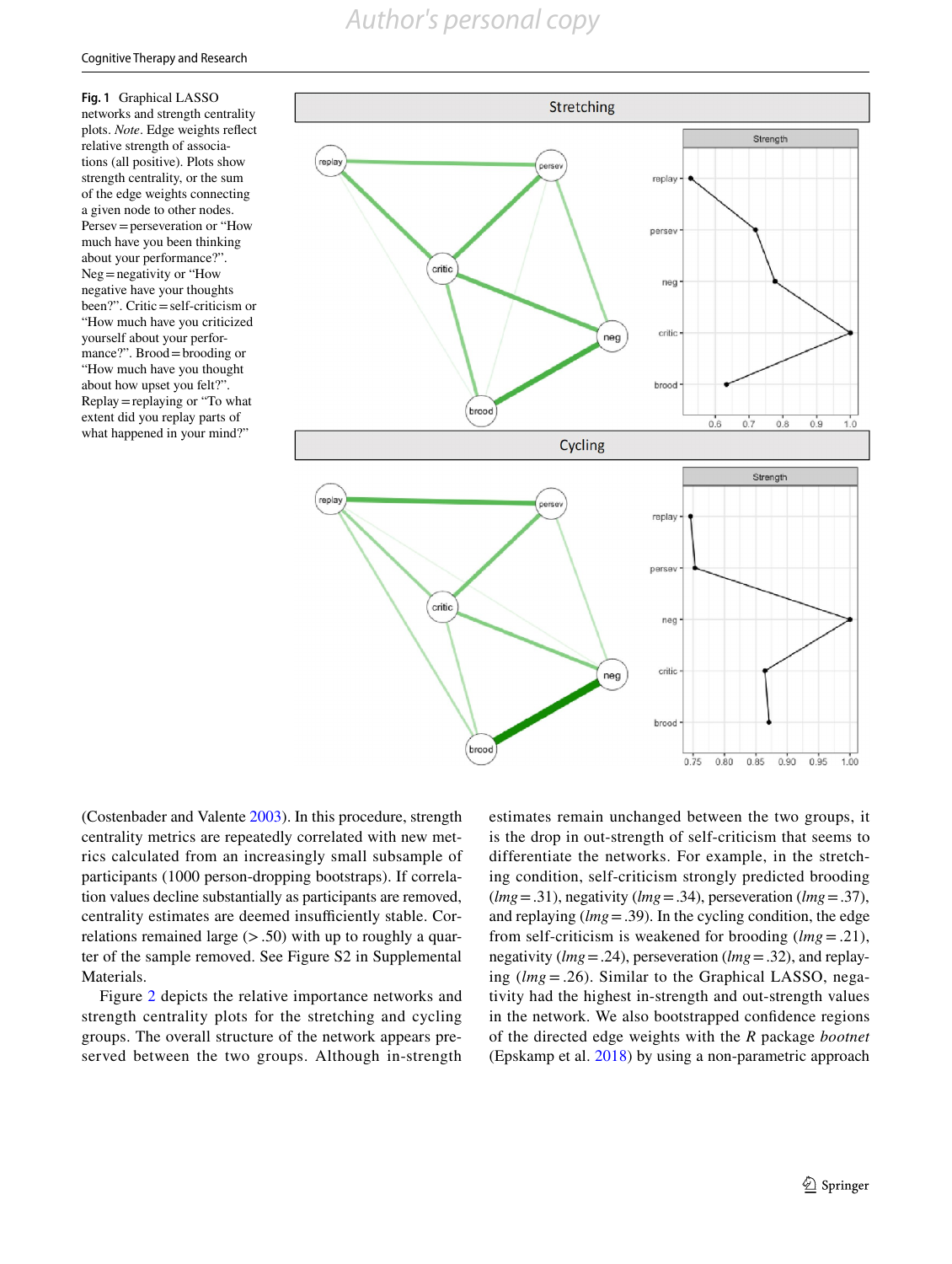# *Author's personal copy*

<span id="page-4-0"></span>**Fig. 1** Graphical LASSO networks and strength centrality plots. *Note*. Edge weights reflect relative strength of associations (all positive). Plots show strength centrality, or the sum of the edge weights connecting a given node to other nodes. Persev=perseveration or "How much have you been thinking about your performance?". Neg=negativity or "How negative have your thoughts been?". Critic=self-criticism or "How much have you criticized yourself about your performance?". Brood=brooding or "How much have you thought about how upset you felt?". Replay=replaying or "To what extent did you replay parts of what happened in your mind?"



(Costenbader and Valente [2003](#page-7-26)). In this procedure, strength centrality metrics are repeatedly correlated with new metrics calculated from an increasingly small subsample of participants (1000 person-dropping bootstraps). If correlation values decline substantially as participants are removed, centrality estimates are deemed insufficiently stable. Correlations remained large  $(> .50)$  with up to roughly a quarter of the sample removed. See Figure S2 in Supplemental Materials.

Figure [2](#page-5-0) depicts the relative importance networks and strength centrality plots for the stretching and cycling groups. The overall structure of the network appears preserved between the two groups. Although in-strength estimates remain unchanged between the two groups, it is the drop in out-strength of self-criticism that seems to differentiate the networks. For example, in the stretching condition, self-criticism strongly predicted brooding (*lmg*=.31), negativity (*lmg*=.34), perseveration (*lmg*=.37), and replaying (*lmg*=.39). In the cycling condition, the edge from self-criticism is weakened for brooding (*lmg*= .21), negativity (*lmg*=.24), perseveration (*lmg*=.32), and replaying (*lmg*=.26). Similar to the Graphical LASSO, negativity had the highest in-strength and out-strength values in the network. We also bootstrapped confidence regions of the directed edge weights with the *R* package *bootnet* (Epskamp et al. [2018](#page-7-25)) by using a non-parametric approach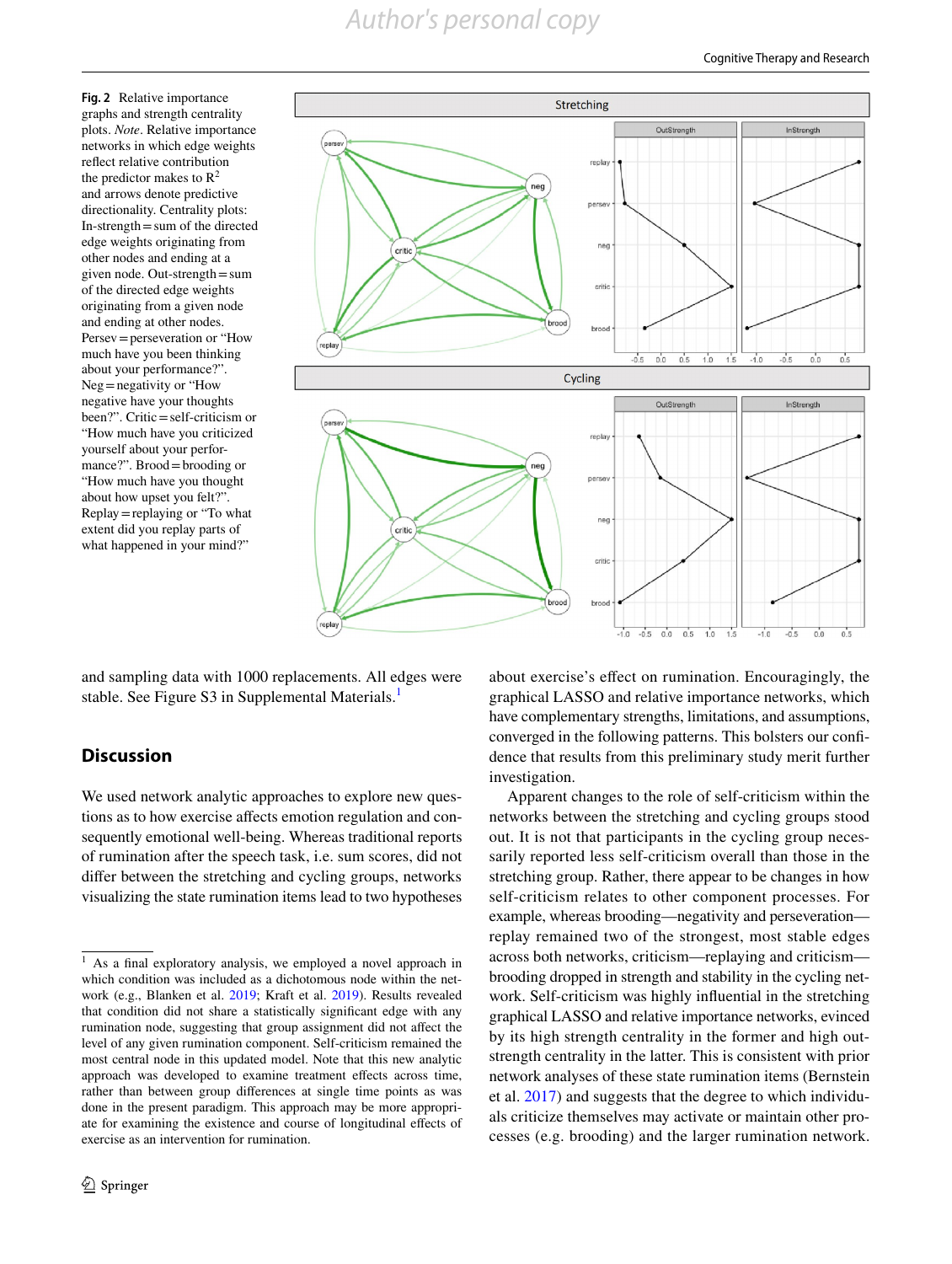*Author's personal copy*

<span id="page-5-0"></span>**Fig. 2** Relative importance graphs and strength centrality plots. *Note*. Relative importance networks in which edge weights reflect relative contribution the predictor makes to  $\mathbb{R}^2$ and arrows denote predictive directionality. Centrality plots: In-strength=sum of the directed edge weights originating from other nodes and ending at a given node. Out-strength=sum of the directed edge weights originating from a given node and ending at other nodes. Persev=perseveration or "How much have you been thinking about your performance?". Neg=negativity or "How negative have your thoughts been?". Critic=self-criticism or "How much have you criticized yourself about your performance?". Brood=brooding or "How much have you thought about how upset you felt?". Replay=replaying or "To what extent did you replay parts of what happened in your mind?"



and sampling data with 1000 replacements. All edges were stable. See Figure S3 in Supplemental Materials.<sup>[1](#page-5-1)</sup>

## **Discussion**

We used network analytic approaches to explore new questions as to how exercise affects emotion regulation and consequently emotional well-being. Whereas traditional reports of rumination after the speech task, i.e. sum scores, did not differ between the stretching and cycling groups, networks visualizing the state rumination items lead to two hypotheses about exercise's effect on rumination. Encouragingly, the graphical LASSO and relative importance networks, which have complementary strengths, limitations, and assumptions, converged in the following patterns. This bolsters our confidence that results from this preliminary study merit further investigation.

Apparent changes to the role of self-criticism within the networks between the stretching and cycling groups stood out. It is not that participants in the cycling group necessarily reported less self-criticism overall than those in the stretching group. Rather, there appear to be changes in how self-criticism relates to other component processes. For example, whereas brooding—negativity and perseveration replay remained two of the strongest, most stable edges across both networks, criticism—replaying and criticism brooding dropped in strength and stability in the cycling network. Self-criticism was highly influential in the stretching graphical LASSO and relative importance networks, evinced by its high strength centrality in the former and high outstrength centrality in the latter. This is consistent with prior network analyses of these state rumination items (Bernstein et al. [2017](#page-7-7)) and suggests that the degree to which individuals criticize themselves may activate or maintain other processes (e.g. brooding) and the larger rumination network.

<span id="page-5-1"></span><sup>&</sup>lt;sup>1</sup> As a final exploratory analysis, we employed a novel approach in which condition was included as a dichotomous node within the network (e.g., Blanken et al. [2019;](#page-7-27) Kraft et al. [2019\)](#page-7-28). Results revealed that condition did not share a statistically significant edge with any rumination node, suggesting that group assignment did not affect the level of any given rumination component. Self-criticism remained the most central node in this updated model. Note that this new analytic approach was developed to examine treatment effects across time, rather than between group differences at single time points as was done in the present paradigm. This approach may be more appropriate for examining the existence and course of longitudinal effects of exercise as an intervention for rumination.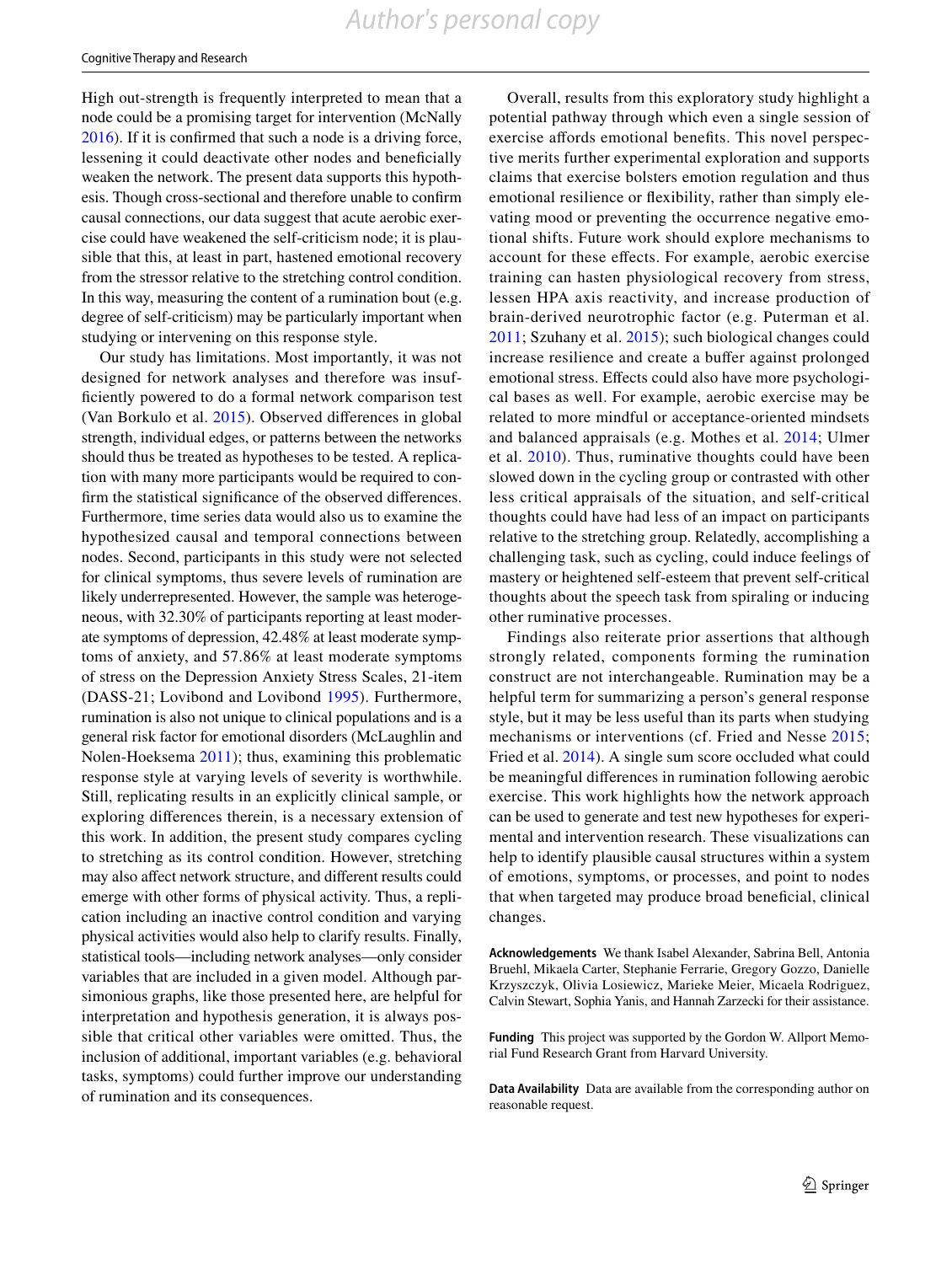High out-strength is frequently interpreted to mean that a node could be a promising target for intervention (McNally [2016](#page-8-12)). If it is confirmed that such a node is a driving force, lessening it could deactivate other nodes and beneficially weaken the network. The present data supports this hypothesis. Though cross-sectional and therefore unable to confirm causal connections, our data suggest that acute aerobic exercise could have weakened the self-criticism node; it is plausible that this, at least in part, hastened emotional recovery from the stressor relative to the stretching control condition. In this way, measuring the content of a rumination bout (e.g. degree of self-criticism) may be particularly important when studying or intervening on this response style.

Our study has limitations. Most importantly, it was not designed for network analyses and therefore was insufficiently powered to do a formal network comparison test (Van Borkulo et al. [2015\)](#page-8-13). Observed differences in global strength, individual edges, or patterns between the networks should thus be treated as hypotheses to be tested. A replication with many more participants would be required to confirm the statistical significance of the observed differences. Furthermore, time series data would also us to examine the hypothesized causal and temporal connections between nodes. Second, participants in this study were not selected for clinical symptoms, thus severe levels of rumination are likely underrepresented. However, the sample was heterogeneous, with 32.30% of participants reporting at least moderate symptoms of depression, 42.48% at least moderate symptoms of anxiety, and 57.86% at least moderate symptoms of stress on the Depression Anxiety Stress Scales, 21-item (DASS-21; Lovibond and Lovibond [1995\)](#page-7-29). Furthermore, rumination is also not unique to clinical populations and is a general risk factor for emotional disorders (McLaughlin and Nolen-Hoeksema [2011](#page-7-30)); thus, examining this problematic response style at varying levels of severity is worthwhile. Still, replicating results in an explicitly clinical sample, or exploring differences therein, is a necessary extension of this work. In addition, the present study compares cycling to stretching as its control condition. However, stretching may also affect network structure, and different results could emerge with other forms of physical activity. Thus, a replication including an inactive control condition and varying physical activities would also help to clarify results. Finally, statistical tools—including network analyses—only consider variables that are included in a given model. Although parsimonious graphs, like those presented here, are helpful for interpretation and hypothesis generation, it is always possible that critical other variables were omitted. Thus, the inclusion of additional, important variables (e.g. behavioral tasks, symptoms) could further improve our understanding of rumination and its consequences.

Overall, results from this exploratory study highlight a potential pathway through which even a single session of exercise affords emotional benefits. This novel perspective merits further experimental exploration and supports claims that exercise bolsters emotion regulation and thus emotional resilience or flexibility, rather than simply elevating mood or preventing the occurrence negative emotional shifts. Future work should explore mechanisms to account for these effects. For example, aerobic exercise training can hasten physiological recovery from stress, lessen HPA axis reactivity, and increase production of brain-derived neurotrophic factor (e.g. Puterman et al. [2011;](#page-8-2) Szuhany et al. [2015](#page-8-14)); such biological changes could increase resilience and create a buffer against prolonged emotional stress. Effects could also have more psychological bases as well. For example, aerobic exercise may be related to more mindful or acceptance-oriented mindsets and balanced appraisals (e.g. Mothes et al. [2014;](#page-8-15) Ulmer et al. [2010](#page-8-16)). Thus, ruminative thoughts could have been slowed down in the cycling group or contrasted with other less critical appraisals of the situation, and self-critical thoughts could have had less of an impact on participants relative to the stretching group. Relatedly, accomplishing a challenging task, such as cycling, could induce feelings of mastery or heightened self-esteem that prevent self-critical thoughts about the speech task from spiraling or inducing other ruminative processes.

Findings also reiterate prior assertions that although strongly related, components forming the rumination construct are not interchangeable. Rumination may be a helpful term for summarizing a person's general response style, but it may be less useful than its parts when studying mechanisms or interventions (cf. Fried and Nesse [2015](#page-7-31); Fried et al. [2014\)](#page-7-32). A single sum score occluded what could be meaningful differences in rumination following aerobic exercise. This work highlights how the network approach can be used to generate and test new hypotheses for experimental and intervention research. These visualizations can help to identify plausible causal structures within a system of emotions, symptoms, or processes, and point to nodes that when targeted may produce broad beneficial, clinical changes.

**Acknowledgements** We thank Isabel Alexander, Sabrina Bell, Antonia Bruehl, Mikaela Carter, Stephanie Ferrarie, Gregory Gozzo, Danielle Krzyszczyk, Olivia Losiewicz, Marieke Meier, Micaela Rodriguez, Calvin Stewart, Sophia Yanis, and Hannah Zarzecki for their assistance.

**Funding** This project was supported by the Gordon W. Allport Memorial Fund Research Grant from Harvard University.

**Data Availability** Data are available from the corresponding author on reasonable request.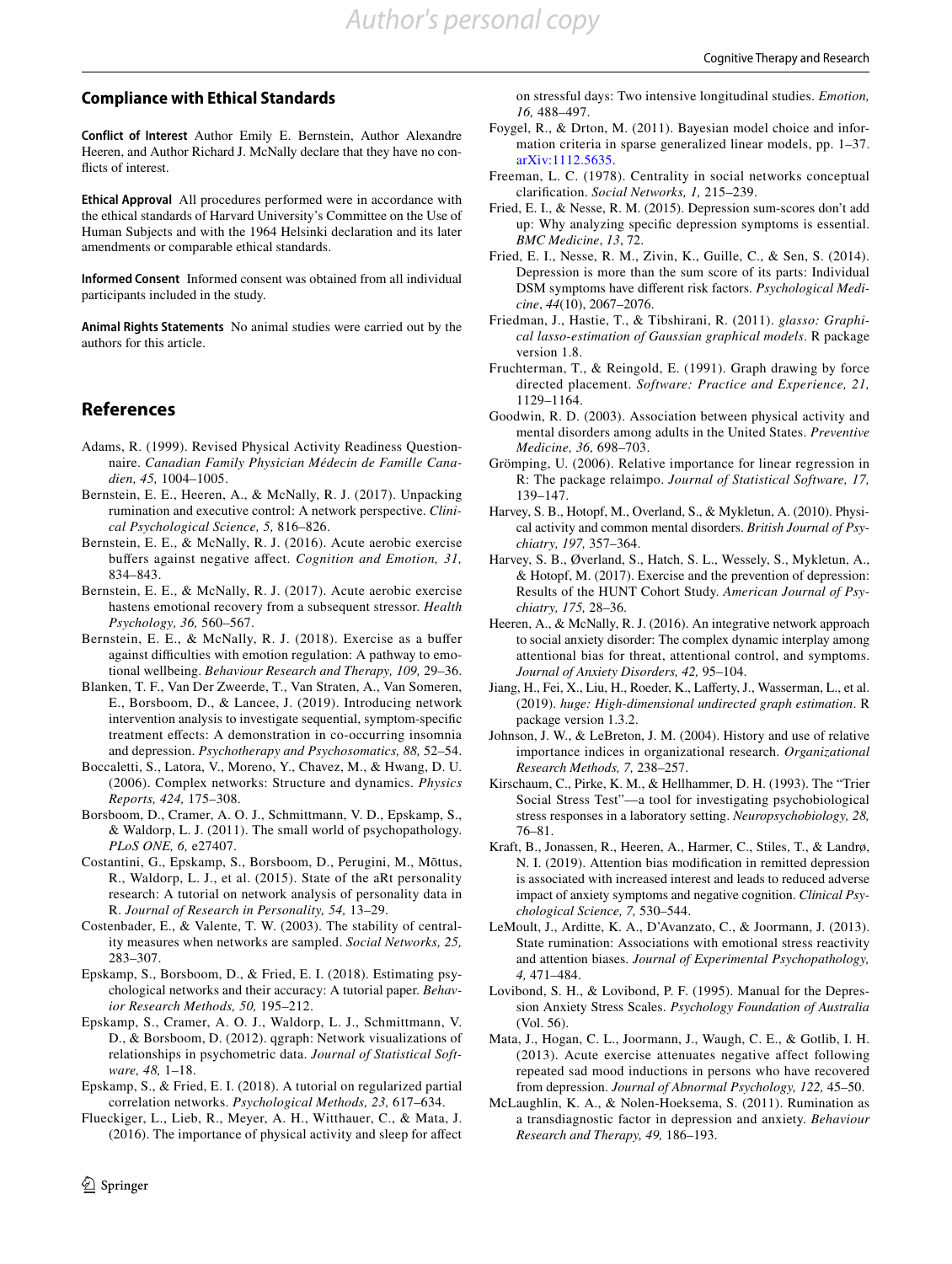### **Compliance with Ethical Standards**

**Conflict of Interest** Author Emily E. Bernstein, Author Alexandre Heeren, and Author Richard J. McNally declare that they have no conflicts of interest.

**Ethical Approval** All procedures performed were in accordance with the ethical standards of Harvard University's Committee on the Use of Human Subjects and with the 1964 Helsinki declaration and its later amendments or comparable ethical standards.

**Informed Consent** Informed consent was obtained from all individual participants included in the study.

**Animal Rights Statements** No animal studies were carried out by the authors for this article.

## **References**

- <span id="page-7-11"></span>Adams, R. (1999). Revised Physical Activity Readiness Questionnaire. *Canadian Family Physician Médecin de Famille Canadien, 45,* 1004–1005.
- <span id="page-7-7"></span>Bernstein, E. E., Heeren, A., & McNally, R. J. (2017). Unpacking rumination and executive control: A network perspective. *Clinical Psychological Science, 5,* 816–826.
- <span id="page-7-4"></span>Bernstein, E. E., & McNally, R. J. (2016). Acute aerobic exercise buffers against negative affect. *Cognition and Emotion, 31,* 834–843.
- <span id="page-7-5"></span>Bernstein, E. E., & McNally, R. J. (2017). Acute aerobic exercise hastens emotional recovery from a subsequent stressor. *Health Psychology, 36,* 560–567.
- <span id="page-7-12"></span>Bernstein, E. E., & McNally, R. J. (2018). Exercise as a buffer against difficulties with emotion regulation: A pathway to emotional wellbeing. *Behaviour Research and Therapy, 109,* 29–36.
- <span id="page-7-27"></span>Blanken, T. F., Van Der Zweerde, T., Van Straten, A., Van Someren, E., Borsboom, D., & Lancee, J. (2019). Introducing network intervention analysis to investigate sequential, symptom-specific treatment effects: A demonstration in co-occurring insomnia and depression. *Psychotherapy and Psychosomatics, 88,* 52–54.
- <span id="page-7-20"></span>Boccaletti, S., Latora, V., Moreno, Y., Chavez, M., & Hwang, D. U. (2006). Complex networks: Structure and dynamics. *Physics Reports, 424,* 175–308.
- <span id="page-7-9"></span>Borsboom, D., Cramer, A. O. J., Schmittmann, V. D., Epskamp, S., & Waldorp, L. J. (2011). The small world of psychopathology. *PLoS ONE, 6,* e27407.
- <span id="page-7-10"></span>Costantini, G., Epskamp, S., Borsboom, D., Perugini, M., Mõttus, R., Waldorp, L. J., et al. (2015). State of the aRt personality research: A tutorial on network analysis of personality data in R. *Journal of Research in Personality, 54,* 13–29.
- <span id="page-7-26"></span>Costenbader, E., & Valente, T. W. (2003). The stability of centrality measures when networks are sampled. *Social Networks, 25,* 283–307.
- <span id="page-7-25"></span>Epskamp, S., Borsboom, D., & Fried, E. I. (2018). Estimating psychological networks and their accuracy: A tutorial paper. *Behavior Research Methods, 50,* 195–212.
- <span id="page-7-14"></span>Epskamp, S., Cramer, A. O. J., Waldorp, L. J., Schmittmann, V. D., & Borsboom, D. (2012). qgraph: Network visualizations of relationships in psychometric data. *Journal of Statistical Software, 48,* 1–18.
- <span id="page-7-16"></span>Epskamp, S., & Fried, E. I. (2018). A tutorial on regularized partial correlation networks. *Psychological Methods, 23,* 617–634.
- <span id="page-7-3"></span>Flueckiger, L., Lieb, R., Meyer, A. H., Witthauer, C., & Mata, J. (2016). The importance of physical activity and sleep for affect

on stressful days: Two intensive longitudinal studies. *Emotion, 16,* 488–497.

- <span id="page-7-19"></span>Foygel, R., & Drton, M. (2011). Bayesian model choice and information criteria in sparse generalized linear models, pp. 1–37. [arXiv:1112.5635](http://arxiv.org/abs/1112.5635).
- <span id="page-7-21"></span>Freeman, L. C. (1978). Centrality in social networks conceptual clarification. *Social Networks, 1,* 215–239.
- <span id="page-7-31"></span>Fried, E. I., & Nesse, R. M. (2015). Depression sum-scores don't add up: Why analyzing specific depression symptoms is essential. *BMC Medicine*, *13*, 72.
- <span id="page-7-32"></span>Fried, E. I., Nesse, R. M., Zivin, K., Guille, C., & Sen, S. (2014). Depression is more than the sum score of its parts: Individual DSM symptoms have different risk factors. *Psychological Medicine*, *44*(10), 2067–2076.
- <span id="page-7-18"></span>Friedman, J., Hastie, T., & Tibshirani, R. (2011). *glasso: Graphical lasso-estimation of Gaussian graphical models*. R package version 1.8.
- <span id="page-7-15"></span>Fruchterman, T., & Reingold, E. (1991). Graph drawing by force directed placement. *Software: Practice and Experience, 21,* 1129–1164.
- <span id="page-7-0"></span>Goodwin, R. D. (2003). Association between physical activity and mental disorders among adults in the United States. *Preventive Medicine, 36,* 698–703.
- <span id="page-7-22"></span>Grömping, U. (2006). Relative importance for linear regression in R: The package relaimpo. *Journal of Statistical Software, 17,* 139–147.
- <span id="page-7-1"></span>Harvey, S. B., Hotopf, M., Overland, S., & Mykletun, A. (2010). Physical activity and common mental disorders. *British Journal of Psychiatry, 197,* 357–364.
- <span id="page-7-2"></span>Harvey, S. B., Øverland, S., Hatch, S. L., Wessely, S., Mykletun, A., & Hotopf, M. (2017). Exercise and the prevention of depression: Results of the HUNT Cohort Study. *American Journal of Psychiatry, 175,* 28–36.
- <span id="page-7-23"></span>Heeren, A., & McNally, R. J. (2016). An integrative network approach to social anxiety disorder: The complex dynamic interplay among attentional bias for threat, attentional control, and symptoms. *Journal of Anxiety Disorders, 42,* 95–104.
- <span id="page-7-17"></span>Jiang, H., Fei, X., Liu, H., Roeder, K., Lafferty, J., Wasserman, L., et al. (2019). *huge: High-dimensional undirected graph estimation*. R package version 1.3.2.
- <span id="page-7-24"></span>Johnson, J. W., & LeBreton, J. M. (2004). History and use of relative importance indices in organizational research. *Organizational Research Methods, 7,* 238–257.
- <span id="page-7-13"></span>Kirschaum, C., Pirke, K. M., & Hellhammer, D. H. (1993). The "Trier Social Stress Test"—a tool for investigating psychobiological stress responses in a laboratory setting. *Neuropsychobiology, 28,* 76–81.
- <span id="page-7-28"></span>Kraft, B., Jonassen, R., Heeren, A., Harmer, C., Stiles, T., & Landrø, N. I. (2019). Attention bias modification in remitted depression is associated with increased interest and leads to reduced adverse impact of anxiety symptoms and negative cognition. *Clinical Psychological Science, 7,* 530–544.
- <span id="page-7-8"></span>LeMoult, J., Arditte, K. A., D'Avanzato, C., & Joormann, J. (2013). State rumination: Associations with emotional stress reactivity and attention biases. *Journal of Experimental Psychopathology, 4,* 471–484.
- <span id="page-7-29"></span>Lovibond, S. H., & Lovibond, P. F. (1995). Manual for the Depression Anxiety Stress Scales. *Psychology Foundation of Australia* (Vol. 56).
- <span id="page-7-6"></span>Mata, J., Hogan, C. L., Joormann, J., Waugh, C. E., & Gotlib, I. H. (2013). Acute exercise attenuates negative affect following repeated sad mood inductions in persons who have recovered from depression. *Journal of Abnormal Psychology, 122,* 45–50.
- <span id="page-7-30"></span>McLaughlin, K. A., & Nolen-Hoeksema, S. (2011). Rumination as a transdiagnostic factor in depression and anxiety. *Behaviour Research and Therapy, 49,* 186–193.